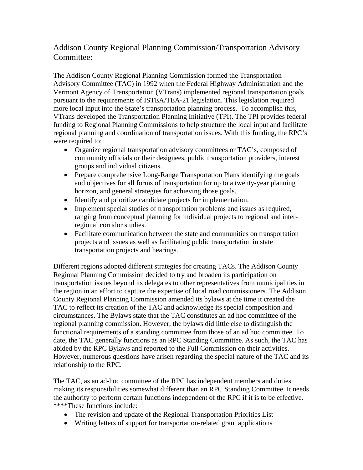## Addison County Regional Planning Commission/Transportation Advisory Committee:

The Addison County Regional Planning Commission formed the Transportation Advisory Committee (TAC) in 1992 when the Federal Highway Administration and the Vermont Agency of Transportation (VTrans) implemented regional transportation goals pursuant to the requirements of ISTEA/TEA-21 legislation. This legislation required more local input into the State's transportation planning process. To accomplish this, VTrans developed the Transportation Planning Initiative (TPI). The TPI provides federal funding to Regional Planning Commissions to help structure the local input and facilitate regional planning and coordination of transportation issues. With this funding, the RPC's were required to:

- Organize regional transportation advisory committees or TAC's, composed of community officials or their designees, public transportation providers, interest groups and individual citizens.
- Prepare comprehensive Long-Range Transportation Plans identifying the goals and objectives for all forms of transportation for up to a twenty-year planning horizon, and general strategies for achieving those goals.
- Identify and prioritize candidate projects for implementation.
- Implement special studies of transportation problems and issues as required, ranging from conceptual planning for individual projects to regional and interregional corridor studies.
- Facilitate communication between the state and communities on transportation projects and issues as well as facilitating public transportation in state transportation projects and hearings.

Different regions adopted different strategies for creating TACs. The Addison County Regional Planning Commission decided to try and broaden its participation on transportation issues beyond its delegates to other representatives from municipalities in the region in an effort to capture the expertise of local road commissioners. The Addison County Regional Planning Commission amended its bylaws at the time it created the TAC to reflect its creation of the TAC and acknowledge its special composition and circumstances. The Bylaws state that the TAC constitutes an ad hoc committee of the regional planning commission. However, the bylaws did little else to distinguish the functional requirements of a standing committee from those of an ad hoc committee. To date, the TAC generally functions as an RPC Standing Committee. As such, the TAC has abided by the RPC Bylaws and reported to the Full Commission on their activities. However, numerous questions have arisen regarding the special nature of the TAC and its relationship to the RPC.

The TAC, as an ad-hoc committee of the RPC has independent members and duties making its responsibilities somewhat different than an RPC Standing Committee. It needs the authority to perform certain functions independent of the RPC if it is to be effective. \*\*\*\*These functions include:

- The revision and update of the Regional Transportation Priorities List
- Writing letters of support for transportation-related grant applications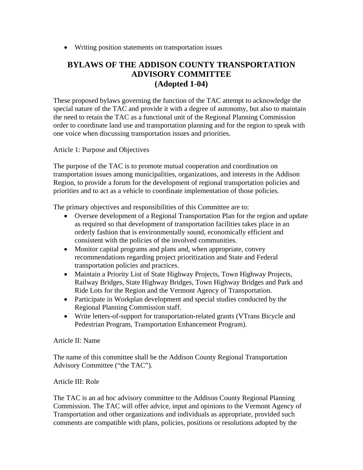Writing position statements on transportation issues

## **BYLAWS OF THE ADDISON COUNTY TRANSPORTATION ADVISORY COMMITTEE (Adopted 1-04)**

These proposed bylaws governing the function of the TAC attempt to acknowledge the special nature of the TAC and provide it with a degree of autonomy, but also to maintain the need to retain the TAC as a functional unit of the Regional Planning Commission order to coordinate land use and transportation planning and for the region to speak with one voice when discussing transportation issues and priorities.

Article 1: Purpose and Objectives

The purpose of the TAC is to promote mutual cooperation and coordination on transportation issues among municipalities, organizations, and interests in the Addison Region, to provide a forum for the development of regional transportation policies and priorities and to act as a vehicle to coordinate implementation of those policies.

The primary objectives and responsibilities of this Committee are to:

- Oversee development of a Regional Transportation Plan for the region and update as required so that development of transportation facilities takes place in an orderly fashion that is environmentally sound, economically efficient and consistent with the policies of the involved communities.
- Monitor capital programs and plans and, when appropriate, convey recommendations regarding project prioritization and State and Federal transportation policies and practices.
- Maintain a Priority List of State Highway Projects, Town Highway Projects, Railway Bridges, State Highway Bridges, Town Highway Bridges and Park and Ride Lots for the Region and the Vermont Agency of Transportation.
- Participate in Workplan development and special studies conducted by the Regional Planning Commission staff.
- Write letters-of-support for transportation-related grants (VTrans Bicycle and Pedestrian Program, Transportation Enhancement Program).

## Article II: Name

The name of this committee shall be the Addison County Regional Transportation Advisory Committee ("the TAC").

## Article III: Role

The TAC is an ad hoc advisory committee to the Addison County Regional Planning Commission. The TAC will offer advice, input and opinions to the Vermont Agency of Transportation and other organizations and individuals as appropriate, provided such comments are compatible with plans, policies, positions or resolutions adopted by the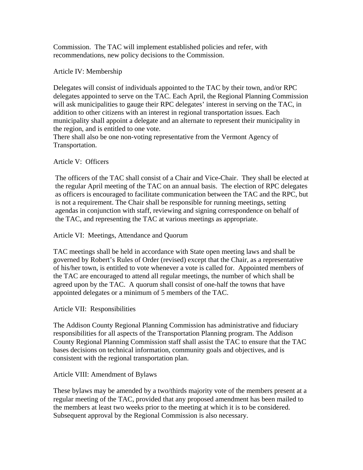Commission. The TAC will implement established policies and refer, with recommendations, new policy decisions to the Commission.

Article IV: Membership

Delegates will consist of individuals appointed to the TAC by their town, and/or RPC delegates appointed to serve on the TAC. Each April, the Regional Planning Commission will ask municipalities to gauge their RPC delegates' interest in serving on the TAC, in addition to other citizens with an interest in regional transportation issues. Each municipality shall appoint a delegate and an alternate to represent their municipality in the region, and is entitled to one vote.

There shall also be one non-voting representative from the Vermont Agency of Transportation.

Article V: Officers

The officers of the TAC shall consist of a Chair and Vice-Chair. They shall be elected at the regular April meeting of the TAC on an annual basis. The election of RPC delegates as officers is encouraged to facilitate communication between the TAC and the RPC, but is not a requirement. The Chair shall be responsible for running meetings, setting agendas in conjunction with staff, reviewing and signing correspondence on behalf of the TAC, and representing the TAC at various meetings as appropriate.

Article VI: Meetings, Attendance and Quorum

TAC meetings shall be held in accordance with State open meeting laws and shall be governed by Robert's Rules of Order (revised) except that the Chair, as a representative of his/her town, is entitled to vote whenever a vote is called for. Appointed members of the TAC are encouraged to attend all regular meetings, the number of which shall be agreed upon by the TAC. A quorum shall consist of one-half the towns that have appointed delegates or a minimum of 5 members of the TAC.

Article VII: Responsibilities

The Addison County Regional Planning Commission has administrative and fiduciary responsibilities for all aspects of the Transportation Planning program. The Addison County Regional Planning Commission staff shall assist the TAC to ensure that the TAC bases decisions on technical information, community goals and objectives, and is consistent with the regional transportation plan.

Article VIII: Amendment of Bylaws

These bylaws may be amended by a two/thirds majority vote of the members present at a regular meeting of the TAC, provided that any proposed amendment has been mailed to the members at least two weeks prior to the meeting at which it is to be considered. Subsequent approval by the Regional Commission is also necessary.